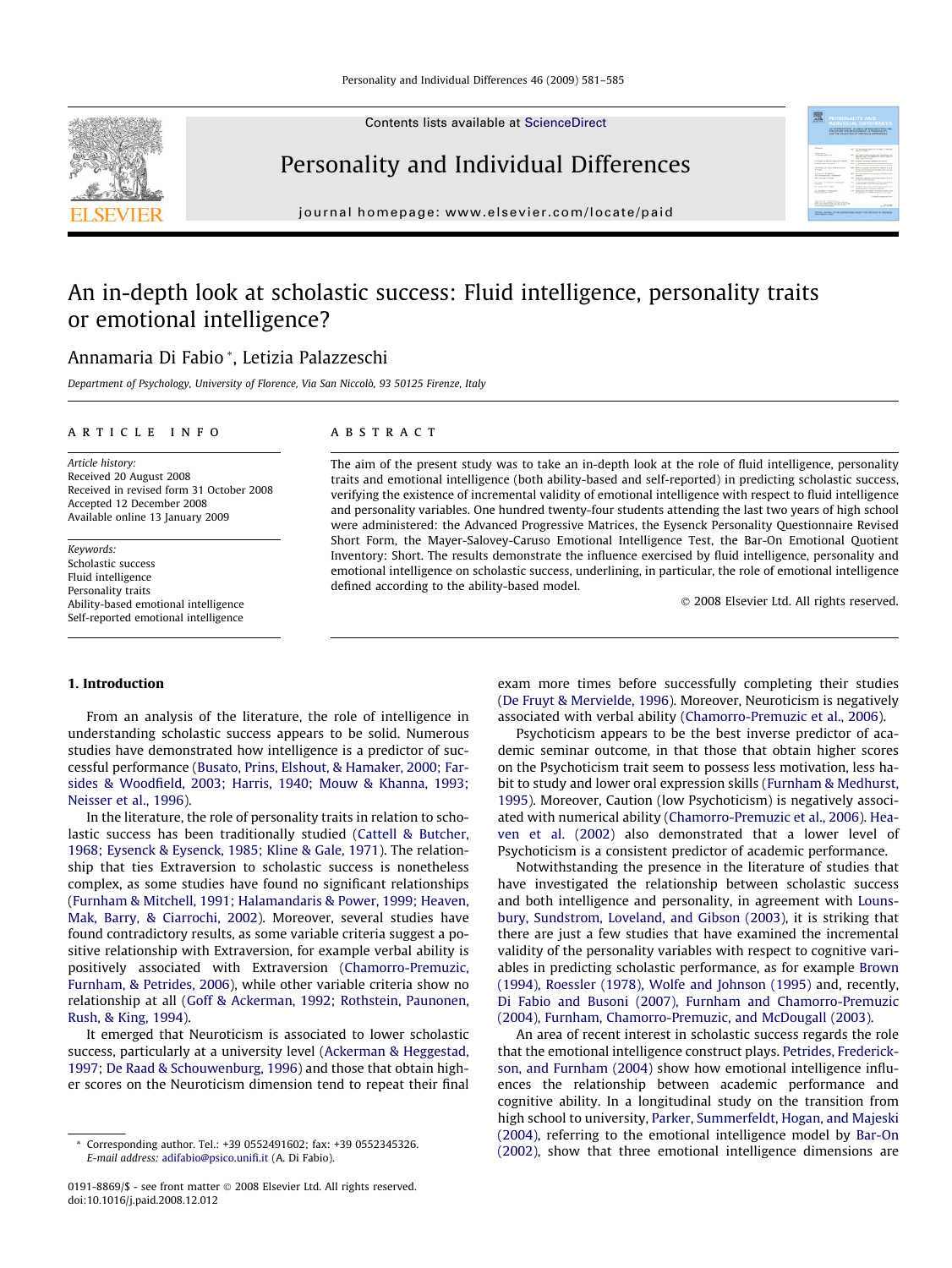Contents lists available at [ScienceDirect](http://www.sciencedirect.com/science/journal/01918869)



# Personality and Individual Differences

journal homepage: [www.elsevier.com/locate/paid](http://www.elsevier.com/locate/paid)

# An in-depth look at scholastic success: Fluid intelligence, personality traits or emotional intelligence?

# Annamaria Di Fabio \*, Letizia Palazzeschi

Department of Psychology, University of Florence, Via San Niccolò, 93 50125 Firenze, Italy

#### article info

Article history: Received 20 August 2008 Received in revised form 31 October 2008 Accepted 12 December 2008 Available online 13 January 2009

Keywords: Scholastic success Fluid intelligence Personality traits Ability-based emotional intelligence Self-reported emotional intelligence

### **ABSTRACT**

The aim of the present study was to take an in-depth look at the role of fluid intelligence, personality traits and emotional intelligence (both ability-based and self-reported) in predicting scholastic success, verifying the existence of incremental validity of emotional intelligence with respect to fluid intelligence and personality variables. One hundred twenty-four students attending the last two years of high school were administered: the Advanced Progressive Matrices, the Eysenck Personality Questionnaire Revised Short Form, the Mayer-Salovey-Caruso Emotional Intelligence Test, the Bar-On Emotional Quotient Inventory: Short. The results demonstrate the influence exercised by fluid intelligence, personality and emotional intelligence on scholastic success, underlining, in particular, the role of emotional intelligence defined according to the ability-based model.

- 2008 Elsevier Ltd. All rights reserved.

**CONTRACTOR** 

# 1. Introduction

From an analysis of the literature, the role of intelligence in understanding scholastic success appears to be solid. Numerous studies have demonstrated how intelligence is a predictor of successful performance ([Busato, Prins, Elshout, & Hamaker, 2000; Far](#page-4-0)[sides & Woodfield, 2003; Harris, 1940; Mouw & Khanna, 1993;](#page-4-0) [Neisser et al., 1996](#page-4-0)).

In the literature, the role of personality traits in relation to scholastic success has been traditionally studied ([Cattell & Butcher,](#page-4-0) [1968; Eysenck & Eysenck, 1985; Kline & Gale, 1971](#page-4-0)). The relationship that ties Extraversion to scholastic success is nonetheless complex, as some studies have found no significant relationships ([Furnham & Mitchell, 1991; Halamandaris & Power, 1999; Heaven,](#page-4-0) [Mak, Barry, & Ciarrochi, 2002](#page-4-0)). Moreover, several studies have found contradictory results, as some variable criteria suggest a positive relationship with Extraversion, for example verbal ability is positively associated with Extraversion ([Chamorro-Premuzic,](#page-4-0) [Furnham, & Petrides, 2006\)](#page-4-0), while other variable criteria show no relationship at all ([Goff & Ackerman, 1992; Rothstein, Paunonen,](#page-4-0) [Rush, & King, 1994\)](#page-4-0).

It emerged that Neuroticism is associated to lower scholastic success, particularly at a university level [\(Ackerman & Heggestad,](#page-4-0) [1997; De Raad & Schouwenburg, 1996](#page-4-0)) and those that obtain higher scores on the Neuroticism dimension tend to repeat their final exam more times before successfully completing their studies ([De Fruyt & Mervielde, 1996\)](#page-4-0). Moreover, Neuroticism is negatively associated with verbal ability [\(Chamorro-Premuzic et al., 2006\)](#page-4-0).

Psychoticism appears to be the best inverse predictor of academic seminar outcome, in that those that obtain higher scores on the Psychoticism trait seem to possess less motivation, less habit to study and lower oral expression skills [\(Furnham & Medhurst,](#page-4-0) [1995\)](#page-4-0). Moreover, Caution (low Psychoticism) is negatively associated with numerical ability ([Chamorro-Premuzic et al., 2006\)](#page-4-0). [Hea](#page-4-0)[ven et al. \(2002\)](#page-4-0) also demonstrated that a lower level of Psychoticism is a consistent predictor of academic performance.

Notwithstanding the presence in the literature of studies that have investigated the relationship between scholastic success and both intelligence and personality, in agreement with [Louns](#page-4-0)[bury, Sundstrom, Loveland, and Gibson \(2003\),](#page-4-0) it is striking that there are just a few studies that have examined the incremental validity of the personality variables with respect to cognitive variables in predicting scholastic performance, as for example [Brown](#page-4-0) [\(1994\), Roessler \(1978\), Wolfe and Johnson \(1995\)](#page-4-0) and, recently, [Di Fabio and Busoni \(2007\), Furnham and Chamorro-Premuzic](#page-4-0) [\(2004\), Furnham, Chamorro-Premuzic, and McDougall \(2003\).](#page-4-0)

An area of recent interest in scholastic success regards the role that the emotional intelligence construct plays. [Petrides, Frederick](#page-4-0)[son, and Furnham \(2004\)](#page-4-0) show how emotional intelligence influences the relationship between academic performance and cognitive ability. In a longitudinal study on the transition from high school to university, [Parker, Summerfeldt, Hogan, and Majeski](#page-4-0) [\(2004\)](#page-4-0), referring to the emotional intelligence model by [Bar-On](#page-4-0) [\(2002\)](#page-4-0), show that three emotional intelligence dimensions are

Corresponding author. Tel.: +39 0552491602; fax: +39 0552345326. E-mail address: [adifabio@psico.unifi.it](mailto:adifabio@psico.unifi.it) (A. Di Fabio).

<sup>0191-8869/\$ -</sup> see front matter © 2008 Elsevier Ltd. All rights reserved. doi:10.1016/j.paid.2008.12.012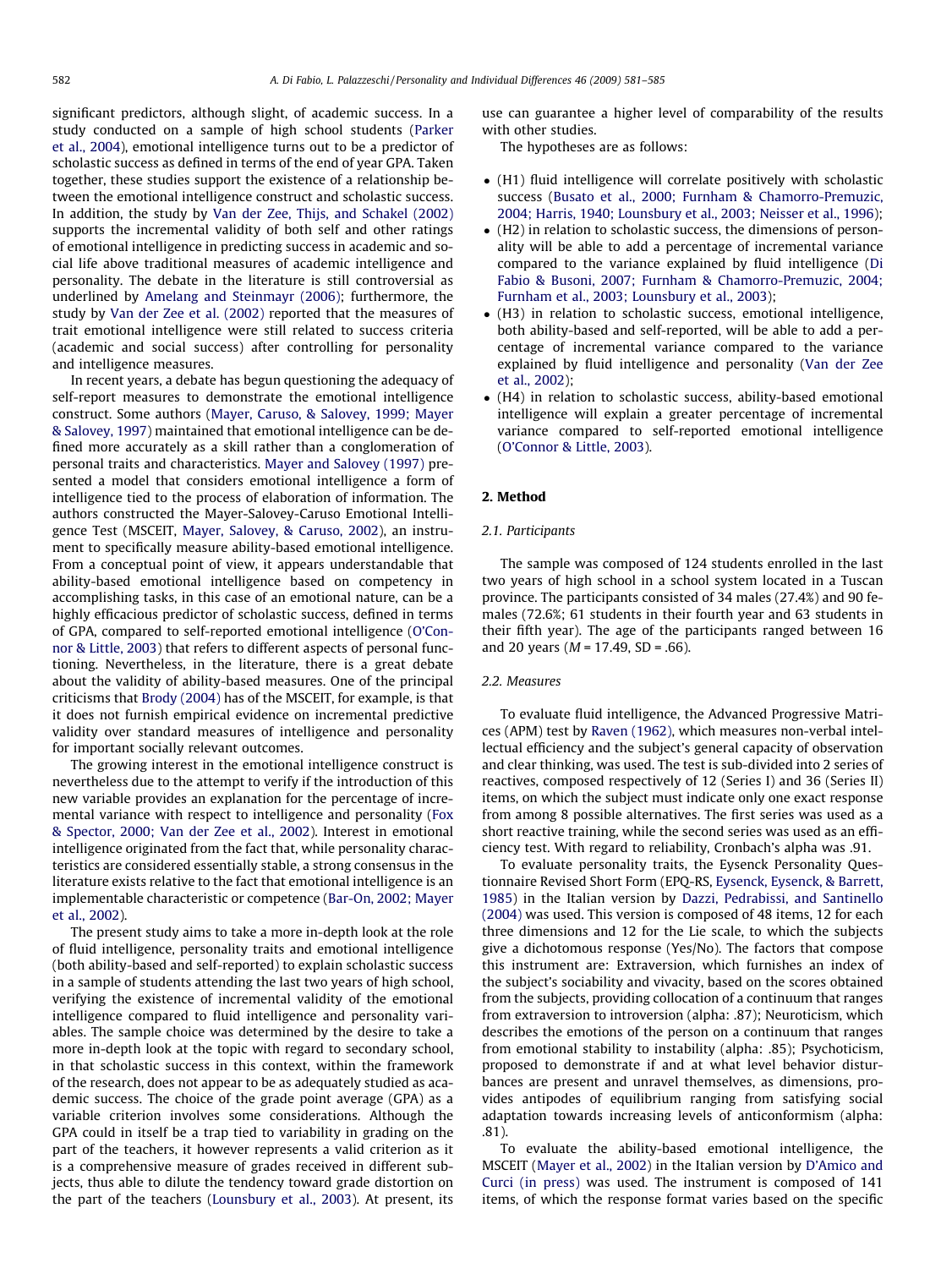significant predictors, although slight, of academic success. In a study conducted on a sample of high school students ([Parker](#page-4-0) [et al., 2004](#page-4-0)), emotional intelligence turns out to be a predictor of scholastic success as defined in terms of the end of year GPA. Taken together, these studies support the existence of a relationship between the emotional intelligence construct and scholastic success. In addition, the study by [Van der Zee, Thijs, and Schakel \(2002\)](#page-4-0) supports the incremental validity of both self and other ratings of emotional intelligence in predicting success in academic and social life above traditional measures of academic intelligence and personality. The debate in the literature is still controversial as underlined by [Amelang and Steinmayr \(2006\);](#page-4-0) furthermore, the study by [Van der Zee et al. \(2002\)](#page-4-0) reported that the measures of trait emotional intelligence were still related to success criteria (academic and social success) after controlling for personality and intelligence measures.

In recent years, a debate has begun questioning the adequacy of self-report measures to demonstrate the emotional intelligence construct. Some authors [\(Mayer, Caruso, & Salovey, 1999; Mayer](#page-4-0) [& Salovey, 1997](#page-4-0)) maintained that emotional intelligence can be defined more accurately as a skill rather than a conglomeration of personal traits and characteristics. [Mayer and Salovey \(1997\)](#page-4-0) presented a model that considers emotional intelligence a form of intelligence tied to the process of elaboration of information. The authors constructed the Mayer-Salovey-Caruso Emotional Intelligence Test (MSCEIT, [Mayer, Salovey, & Caruso, 2002\)](#page-4-0), an instrument to specifically measure ability-based emotional intelligence. From a conceptual point of view, it appears understandable that ability-based emotional intelligence based on competency in accomplishing tasks, in this case of an emotional nature, can be a highly efficacious predictor of scholastic success, defined in terms of GPA, compared to self-reported emotional intelligence [\(O'Con](#page-4-0)[nor & Little, 2003](#page-4-0)) that refers to different aspects of personal functioning. Nevertheless, in the literature, there is a great debate about the validity of ability-based measures. One of the principal criticisms that [Brody \(2004\)](#page-4-0) has of the MSCEIT, for example, is that it does not furnish empirical evidence on incremental predictive validity over standard measures of intelligence and personality for important socially relevant outcomes.

The growing interest in the emotional intelligence construct is nevertheless due to the attempt to verify if the introduction of this new variable provides an explanation for the percentage of incremental variance with respect to intelligence and personality [\(Fox](#page-4-0) [& Spector, 2000; Van der Zee et al., 2002](#page-4-0)). Interest in emotional intelligence originated from the fact that, while personality characteristics are considered essentially stable, a strong consensus in the literature exists relative to the fact that emotional intelligence is an implementable characteristic or competence [\(Bar-On, 2002; Mayer](#page-4-0) [et al., 2002\)](#page-4-0).

The present study aims to take a more in-depth look at the role of fluid intelligence, personality traits and emotional intelligence (both ability-based and self-reported) to explain scholastic success in a sample of students attending the last two years of high school, verifying the existence of incremental validity of the emotional intelligence compared to fluid intelligence and personality variables. The sample choice was determined by the desire to take a more in-depth look at the topic with regard to secondary school, in that scholastic success in this context, within the framework of the research, does not appear to be as adequately studied as academic success. The choice of the grade point average (GPA) as a variable criterion involves some considerations. Although the GPA could in itself be a trap tied to variability in grading on the part of the teachers, it however represents a valid criterion as it is a comprehensive measure of grades received in different subjects, thus able to dilute the tendency toward grade distortion on the part of the teachers ([Lounsbury et al., 2003](#page-4-0)). At present, its use can guarantee a higher level of comparability of the results with other studies.

The hypotheses are as follows:

- (H1) fluid intelligence will correlate positively with scholastic success [\(Busato et al., 2000; Furnham & Chamorro-Premuzic,](#page-4-0) [2004; Harris, 1940; Lounsbury et al., 2003; Neisser et al., 1996\)](#page-4-0);
- (H2) in relation to scholastic success, the dimensions of personality will be able to add a percentage of incremental variance compared to the variance explained by fluid intelligence [\(Di](#page-4-0) Fabio & [Busoni, 2007; Furnham & Chamorro-Premuzic, 2004;](#page-4-0) [Furnham et al., 2003; Lounsbury et al., 2003](#page-4-0));
- (H3) in relation to scholastic success, emotional intelligence, both ability-based and self-reported, will be able to add a percentage of incremental variance compared to the variance explained by fluid intelligence and personality ([Van der Zee](#page-4-0) [et al., 2002](#page-4-0));
- (H4) in relation to scholastic success, ability-based emotional intelligence will explain a greater percentage of incremental variance compared to self-reported emotional intelligence [\(O'Connor & Little, 2003](#page-4-0)).

# 2. Method

#### 2.1. Participants

The sample was composed of 124 students enrolled in the last two years of high school in a school system located in a Tuscan province. The participants consisted of 34 males (27.4%) and 90 females (72.6%; 61 students in their fourth year and 63 students in their fifth year). The age of the participants ranged between 16 and 20 years ( $M = 17.49$ , SD = .66).

# 2.2. Measures

To evaluate fluid intelligence, the Advanced Progressive Matrices (APM) test by [Raven \(1962\)](#page-4-0), which measures non-verbal intellectual efficiency and the subject's general capacity of observation and clear thinking, was used. The test is sub-divided into 2 series of reactives, composed respectively of 12 (Series I) and 36 (Series II) items, on which the subject must indicate only one exact response from among 8 possible alternatives. The first series was used as a short reactive training, while the second series was used as an efficiency test. With regard to reliability, Cronbach's alpha was .91.

To evaluate personality traits, the Eysenck Personality Questionnaire Revised Short Form (EPQ-RS, [Eysenck, Eysenck, & Barrett,](#page-4-0) [1985\)](#page-4-0) in the Italian version by [Dazzi, Pedrabissi, and Santinello](#page-4-0) [\(2004\)](#page-4-0) was used. This version is composed of 48 items, 12 for each three dimensions and 12 for the Lie scale, to which the subjects give a dichotomous response (Yes/No). The factors that compose this instrument are: Extraversion, which furnishes an index of the subject's sociability and vivacity, based on the scores obtained from the subjects, providing collocation of a continuum that ranges from extraversion to introversion (alpha: .87); Neuroticism, which describes the emotions of the person on a continuum that ranges from emotional stability to instability (alpha: .85); Psychoticism, proposed to demonstrate if and at what level behavior disturbances are present and unravel themselves, as dimensions, provides antipodes of equilibrium ranging from satisfying social adaptation towards increasing levels of anticonformism (alpha: .81).

To evaluate the ability-based emotional intelligence, the MSCEIT [\(Mayer et al., 2002\)](#page-4-0) in the Italian version by [D'Amico and](#page-4-0) [Curci \(in press\)](#page-4-0) was used. The instrument is composed of 141 items, of which the response format varies based on the specific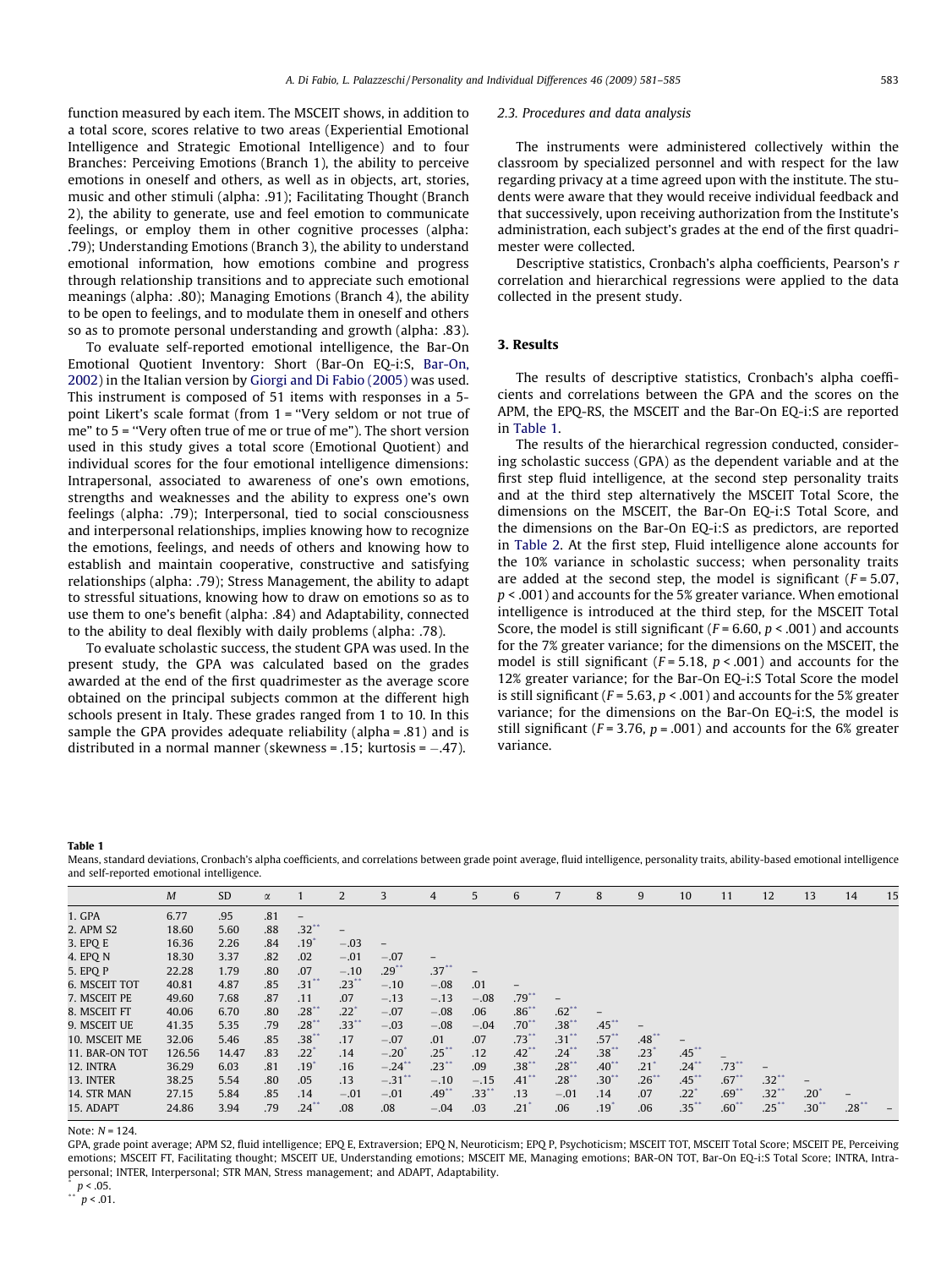function measured by each item. The MSCEIT shows, in addition to a total score, scores relative to two areas (Experiential Emotional Intelligence and Strategic Emotional Intelligence) and to four Branches: Perceiving Emotions (Branch 1), the ability to perceive emotions in oneself and others, as well as in objects, art, stories, music and other stimuli (alpha: .91); Facilitating Thought (Branch 2), the ability to generate, use and feel emotion to communicate feelings, or employ them in other cognitive processes (alpha: .79); Understanding Emotions (Branch 3), the ability to understand emotional information, how emotions combine and progress through relationship transitions and to appreciate such emotional meanings (alpha: .80); Managing Emotions (Branch 4), the ability to be open to feelings, and to modulate them in oneself and others so as to promote personal understanding and growth (alpha: .83).

To evaluate self-reported emotional intelligence, the Bar-On Emotional Quotient Inventory: Short (Bar-On EQ-i:S, [Bar-On,](#page-4-0) [2002](#page-4-0)) in the Italian version by [Giorgi and Di Fabio \(2005\)](#page-4-0) was used. This instrument is composed of 51 items with responses in a 5 point Likert's scale format (from 1 = ''Very seldom or not true of me" to 5 = ''Very often true of me or true of me"). The short version used in this study gives a total score (Emotional Quotient) and individual scores for the four emotional intelligence dimensions: Intrapersonal, associated to awareness of one's own emotions, strengths and weaknesses and the ability to express one's own feelings (alpha: .79); Interpersonal, tied to social consciousness and interpersonal relationships, implies knowing how to recognize the emotions, feelings, and needs of others and knowing how to establish and maintain cooperative, constructive and satisfying relationships (alpha: .79); Stress Management, the ability to adapt to stressful situations, knowing how to draw on emotions so as to use them to one's benefit (alpha: .84) and Adaptability, connected to the ability to deal flexibly with daily problems (alpha: .78).

To evaluate scholastic success, the student GPA was used. In the present study, the GPA was calculated based on the grades awarded at the end of the first quadrimester as the average score obtained on the principal subjects common at the different high schools present in Italy. These grades ranged from 1 to 10. In this sample the GPA provides adequate reliability (alpha = .81) and is distributed in a normal manner (skewness = .15; kurtosis =  $-.47$ ).

### 2.3. Procedures and data analysis

The instruments were administered collectively within the classroom by specialized personnel and with respect for the law regarding privacy at a time agreed upon with the institute. The students were aware that they would receive individual feedback and that successively, upon receiving authorization from the Institute's administration, each subject's grades at the end of the first quadrimester were collected.

Descriptive statistics, Cronbach's alpha coefficients, Pearson's r correlation and hierarchical regressions were applied to the data collected in the present study.

#### 3. Results

The results of descriptive statistics, Cronbach's alpha coefficients and correlations between the GPA and the scores on the APM, the EPQ-RS, the MSCEIT and the Bar-On EQ-i:S are reported in Table 1.

The results of the hierarchical regression conducted, considering scholastic success (GPA) as the dependent variable and at the first step fluid intelligence, at the second step personality traits and at the third step alternatively the MSCEIT Total Score, the dimensions on the MSCEIT, the Bar-On EQ-i:S Total Score, and the dimensions on the Bar-On EQ-i:S as predictors, are reported in [Table 2.](#page-3-0) At the first step, Fluid intelligence alone accounts for the 10% variance in scholastic success; when personality traits are added at the second step, the model is significant  $(F = 5.07$ ,  $p$  < .001) and accounts for the 5% greater variance. When emotional intelligence is introduced at the third step, for the MSCEIT Total Score, the model is still significant ( $F = 6.60$ ,  $p < .001$ ) and accounts for the 7% greater variance; for the dimensions on the MSCEIT, the model is still significant ( $F = 5.18$ ,  $p < .001$ ) and accounts for the 12% greater variance; for the Bar-On EQ-i:S Total Score the model is still significant ( $F = 5.63$ ,  $p < .001$ ) and accounts for the 5% greater variance; for the dimensions on the Bar-On EQ-i:S, the model is still significant ( $F = 3.76$ ,  $p = .001$ ) and accounts for the 6% greater variance.

#### Table 1

Means, standard deviations, Cronbach's alpha coefficients, and correlations between grade point average, fluid intelligence, personality traits, ability-based emotional intelligence and self-reported emotional intelligence.

|                      | $\boldsymbol{M}$ | SD    | $\alpha$ |                   | 2                 | 3                   | $\overline{4}$ | 5        | 6                   |          | 8                  | 9        | 10              | 11       | 12       | 13              | 14  | 15 |
|----------------------|------------------|-------|----------|-------------------|-------------------|---------------------|----------------|----------|---------------------|----------|--------------------|----------|-----------------|----------|----------|-----------------|-----|----|
| 1. GPA               | 6.77             | .95   | .81      | $\qquad \qquad -$ |                   |                     |                |          |                     |          |                    |          |                 |          |          |                 |     |    |
| 2. APM S2            | 18.60            | 5.60  | .88      | $.32**$           | $\qquad \qquad -$ |                     |                |          |                     |          |                    |          |                 |          |          |                 |     |    |
| 3. EPO E             | 16.36            | 2.26  | .84      | .19               | $-.03$            | $\qquad \qquad -$   |                |          |                     |          |                    |          |                 |          |          |                 |     |    |
| 4. EPO N             | 18.30            | 3.37  | .82      | .02               | $-.01$            | $-.07$              |                |          |                     |          |                    |          |                 |          |          |                 |     |    |
| 5. EPO P             | 22.28            | 1.79  | .80      | .07               | $-.10$            | $.29**$             | $.37***$       |          |                     |          |                    |          |                 |          |          |                 |     |    |
| <b>6. MSCEIT TOT</b> | 40.81            | 4.87  | .85      | $.31***$          | $.23***$          | $-.10$              | $-.08$         | .01      |                     |          |                    |          |                 |          |          |                 |     |    |
| 7. MSCEIT PE         | 49.60            | 7.68  | .87      | .11               | .07               | $-.13$              | $-.13$         | $-.08$   | $.79**$             |          |                    |          |                 |          |          |                 |     |    |
| 8. MSCEIT FT         | 40.06            | 6.70  | .80      | $.28***$          | $.22^{\degree}$   | $-.07$              | $-.08$         | .06      | .86                 | $.62$ ** |                    |          |                 |          |          |                 |     |    |
| 9. MSCEIT UE         | 41.35            | 5.35  | .79      | $.28***$          | $.33***$          | $-.03$              | $-.08$         | $-.04$   | $.70^{**}$          | .38      | .45                |          |                 |          |          |                 |     |    |
| 10. MSCEIT ME        | 32.06            | 5.46  | .85      | $.38***$          | .17               | $-.07$              | .01            | .07      | $.73$ **            | $.31***$ | $.57**$            | .48      |                 |          |          |                 |     |    |
| 11. BAR-ON TOT       | 126.56           | 14.47 | .83      | $.22^{1}$         | .14               | $-.20^{\degree}$    | $.25***$       | .12      | $.42$ <sup>**</sup> | .24      | .38                | .23'     | $.45$ **        |          |          |                 |     |    |
| 12. INTRA            | 36.29            | 6.03  | .81      | .19               | .16               | $-.24$              | $.23**$        | .09      | $.38***$            | $.28***$ | $.40**$            | .21'     | $.24***$        | $.73***$ |          |                 |     |    |
| 13. INTER            | 38.25            | 5.54  | .80      | .05               | .13               | $-.31$ <sup>*</sup> | $-.10$         | $-.15$   | $.41$ <sup>**</sup> | .28      | $.30**$            | $.26***$ | $.45**$         | $.67**$  | $.32**$  |                 |     |    |
| 14. STR MAN          | 27.15            | 5.84  | .85      | .14               | $-.01$            | $-.01$              | .49            | $.33$ ** | .13                 | $-.01$   | .14                | .07      | $.22^{\degree}$ | $.69**$  | $.32***$ | $.20^{\degree}$ |     |    |
| 15. ADAPT            | 24.86            | 3.94  | .79      | $.24***$          | .08               | .08                 | $-.04$         | .03      | .21                 | .06      | $.19$ <sup>*</sup> | .06      | $.35***$        | $.60**$  | $.25***$ | $.30***$        | .28 |    |

Note:  $N = 124$ 

GPA, grade point average; APM S2, fluid intelligence; EPQ E, Extraversion; EPQ N, Neuroticism; EPQ P, Psychoticism; MSCEIT TOT, MSCEIT Total Score; MSCEIT PE, Perceiving emotions; MSCEIT FT, Facilitating thought; MSCEIT UE, Understanding emotions; MSCEIT ME, Managing emotions; BAR-ON TOT, Bar-On EQ-i:S Total Score; INTRA, Intrapersonal; INTER, Interpersonal; STR MAN, Stress management; and ADAPT, Adaptability.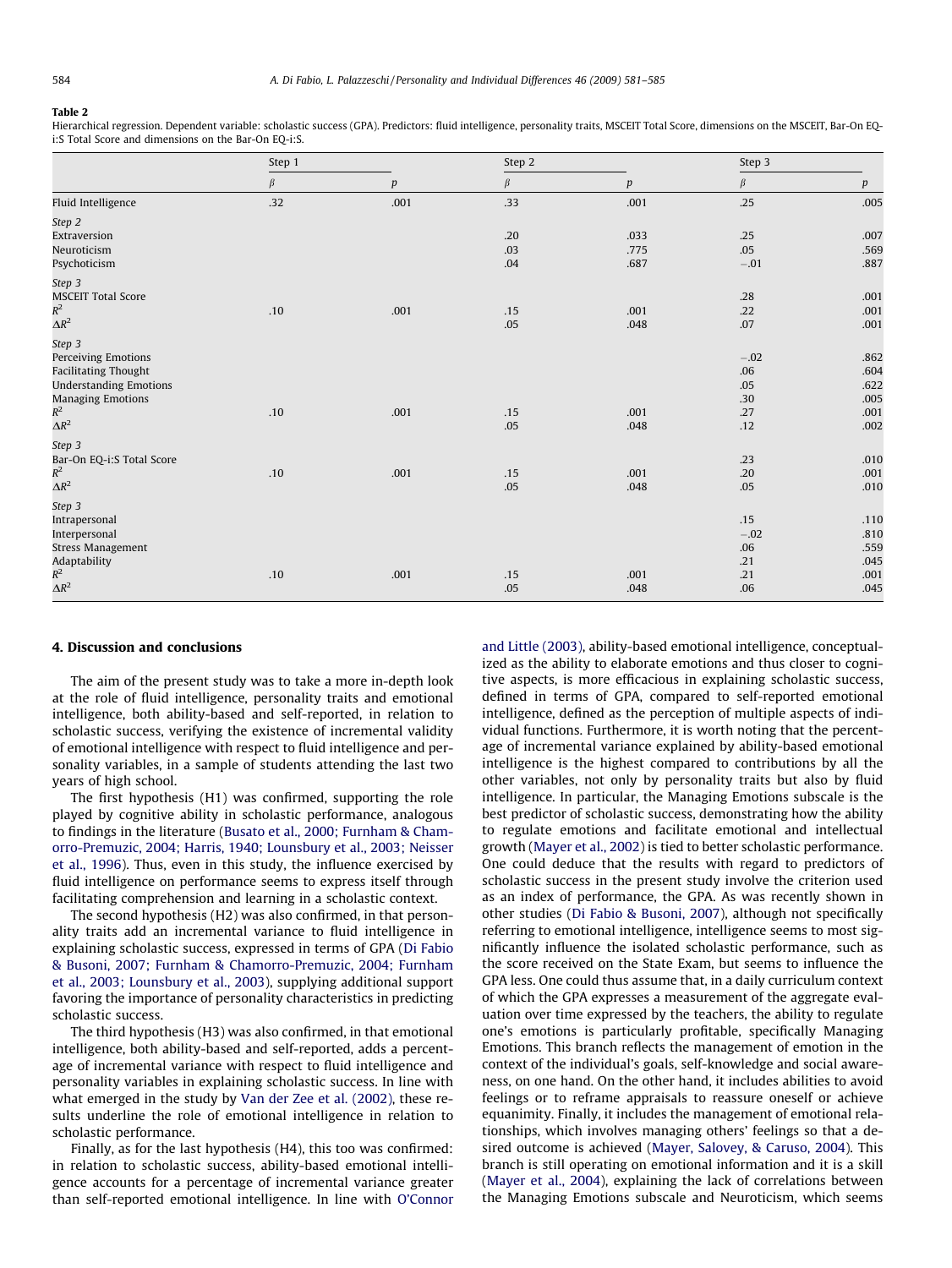#### <span id="page-3-0"></span>Table 2

Hierarchical regression. Dependent variable: scholastic success (GPA). Predictors: fluid intelligence, personality traits, MSCEIT Total Score, dimensions on the MSCEIT, Bar-On EQi:S Total Score and dimensions on the Bar-On EQ-i:S.

|                                                                                                                                             | Step 1  |      | Step 2            |                      | Step 3                                    |                                              |  |
|---------------------------------------------------------------------------------------------------------------------------------------------|---------|------|-------------------|----------------------|-------------------------------------------|----------------------------------------------|--|
|                                                                                                                                             | $\beta$ | p    | $\beta$           | $\boldsymbol{p}$     | $\beta$                                   | $\boldsymbol{p}$                             |  |
| Fluid Intelligence                                                                                                                          | .32     | .001 | .33               | .001                 | .25                                       | .005                                         |  |
| Step 2<br>Extraversion<br>Neuroticism<br>Psychoticism                                                                                       |         |      | .20<br>.03<br>.04 | .033<br>.775<br>.687 | .25<br>.05<br>$-.01$                      | .007<br>.569<br>.887                         |  |
| Step 3<br><b>MSCEIT Total Score</b><br>$R^2$<br>$\Delta R^2$                                                                                | .10     | .001 | .15<br>.05        | .001<br>.048         | .28<br>.22<br>.07                         | .001<br>.001<br>.001                         |  |
| Step 3<br>Perceiving Emotions<br>Facilitating Thought<br><b>Understanding Emotions</b><br><b>Managing Emotions</b><br>$R^2$<br>$\Delta R^2$ | .10     | .001 | .15<br>.05        | .001<br>.048         | $-.02$<br>.06<br>.05<br>.30<br>.27<br>.12 | .862<br>.604<br>.622<br>.005<br>.001<br>.002 |  |
| Step 3<br>Bar-On EQ-i:S Total Score<br>$R^2$<br>$\Delta R^2$                                                                                | .10     | .001 | .15<br>.05        | .001<br>.048         | .23<br>.20<br>.05                         | .010<br>.001<br>.010                         |  |
| Step 3<br>Intrapersonal<br>Interpersonal<br>Stress Management<br>Adaptability<br>$R^2$<br>$\Delta R^2$                                      | .10     | .001 | .15<br>.05        | .001<br>.048         | .15<br>$-.02$<br>.06<br>.21<br>.21<br>.06 | .110<br>.810<br>.559<br>.045<br>.001<br>.045 |  |

# 4. Discussion and conclusions

The aim of the present study was to take a more in-depth look at the role of fluid intelligence, personality traits and emotional intelligence, both ability-based and self-reported, in relation to scholastic success, verifying the existence of incremental validity of emotional intelligence with respect to fluid intelligence and personality variables, in a sample of students attending the last two years of high school.

The first hypothesis (H1) was confirmed, supporting the role played by cognitive ability in scholastic performance, analogous to findings in the literature [\(Busato et al., 2000; Furnham & Cham](#page-4-0)[orro-Premuzic, 2004; Harris, 1940; Lounsbury et al., 2003; Neisser](#page-4-0) [et al., 1996](#page-4-0)). Thus, even in this study, the influence exercised by fluid intelligence on performance seems to express itself through facilitating comprehension and learning in a scholastic context.

The second hypothesis (H2) was also confirmed, in that personality traits add an incremental variance to fluid intelligence in explaining scholastic success, expressed in terms of GPA ([Di Fabio](#page-4-0) [& Busoni, 2007; Furnham & Chamorro-Premuzic, 2004; Furnham](#page-4-0) [et al., 2003; Lounsbury et al., 2003\)](#page-4-0), supplying additional support favoring the importance of personality characteristics in predicting scholastic success.

The third hypothesis (H3) was also confirmed, in that emotional intelligence, both ability-based and self-reported, adds a percentage of incremental variance with respect to fluid intelligence and personality variables in explaining scholastic success. In line with what emerged in the study by [Van der Zee et al. \(2002\)](#page-4-0), these results underline the role of emotional intelligence in relation to scholastic performance.

Finally, as for the last hypothesis (H4), this too was confirmed: in relation to scholastic success, ability-based emotional intelligence accounts for a percentage of incremental variance greater than self-reported emotional intelligence. In line with [O'Connor](#page-4-0) [and Little \(2003\)](#page-4-0), ability-based emotional intelligence, conceptualized as the ability to elaborate emotions and thus closer to cognitive aspects, is more efficacious in explaining scholastic success, defined in terms of GPA, compared to self-reported emotional intelligence, defined as the perception of multiple aspects of individual functions. Furthermore, it is worth noting that the percentage of incremental variance explained by ability-based emotional intelligence is the highest compared to contributions by all the other variables, not only by personality traits but also by fluid intelligence. In particular, the Managing Emotions subscale is the best predictor of scholastic success, demonstrating how the ability to regulate emotions and facilitate emotional and intellectual growth ([Mayer et al., 2002](#page-4-0)) is tied to better scholastic performance. One could deduce that the results with regard to predictors of scholastic success in the present study involve the criterion used as an index of performance, the GPA. As was recently shown in other studies ([Di Fabio & Busoni, 2007\)](#page-4-0), although not specifically referring to emotional intelligence, intelligence seems to most significantly influence the isolated scholastic performance, such as the score received on the State Exam, but seems to influence the GPA less. One could thus assume that, in a daily curriculum context of which the GPA expresses a measurement of the aggregate evaluation over time expressed by the teachers, the ability to regulate one's emotions is particularly profitable, specifically Managing Emotions. This branch reflects the management of emotion in the context of the individual's goals, self-knowledge and social awareness, on one hand. On the other hand, it includes abilities to avoid feelings or to reframe appraisals to reassure oneself or achieve equanimity. Finally, it includes the management of emotional relationships, which involves managing others' feelings so that a desired outcome is achieved [\(Mayer, Salovey, & Caruso, 2004](#page-4-0)). This branch is still operating on emotional information and it is a skill ([Mayer et al., 2004\)](#page-4-0), explaining the lack of correlations between the Managing Emotions subscale and Neuroticism, which seems